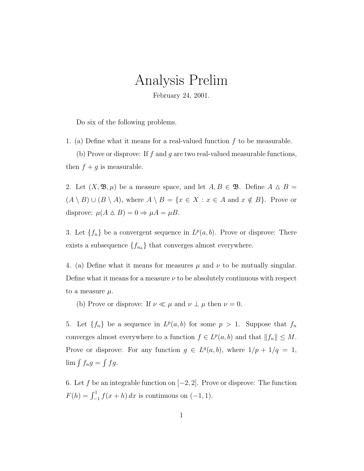## Analysis Prelim

February 24, 2001.

Do six of the following problems.

1. (a) Define what it means for a real-valued function  $f$  to be measurable.

(b) Prove or disprove: If f and g are two real-valued measurable functions, then  $f + g$  is measurable.

2. Let  $(X, \mathfrak{B}, \mu)$  be a measure space, and let  $A, B \in \mathfrak{B}$ . Define  $A \triangle B =$  $(A \setminus B) \cup (B \setminus A)$ , where  $A \setminus B = \{x \in X : x \in A \text{ and } x \notin B\}$ . Prove or disprove:  $\mu(A \triangle B) = 0 \Rightarrow \mu A = \mu B$ .

3. Let  $\{f_n\}$  be a convergent sequence in  $L^p(a, b)$ . Prove or disprove: There exists a subsequence  $\{f_{n_k}\}\$  that converges almost everywhere.

4. (a) Define what it means for measures  $\mu$  and  $\nu$  to be mutually singular. Define what it means for a measure  $\nu$  to be absolutely continuous with respect to a measure  $\mu$ .

(b) Prove or disprove: If  $\nu \ll \mu$  and  $\nu \perp \mu$  then  $\nu = 0$ .

5. Let  $\{f_n\}$  be a sequence in  $L^p(a,b)$  for some  $p > 1$ . Suppose that  $f_n$ converges almost everywhere to a function  $f \in L^p(a, b)$  and that  $||f_n|| \leq M$ . Prove or disprove: For any function  $g \in L^q(a, b)$ , where  $1/p + 1/q = 1$ ,  $\lim \int f_n g =$ R  $fg.$ 

6. Let f be an integrable function on  $[-2, 2]$ . Prove or disprove: The function  $F(h) = \int_{-1}^{1} f(x+h) dx$  is continuous on  $(-1, 1)$ .